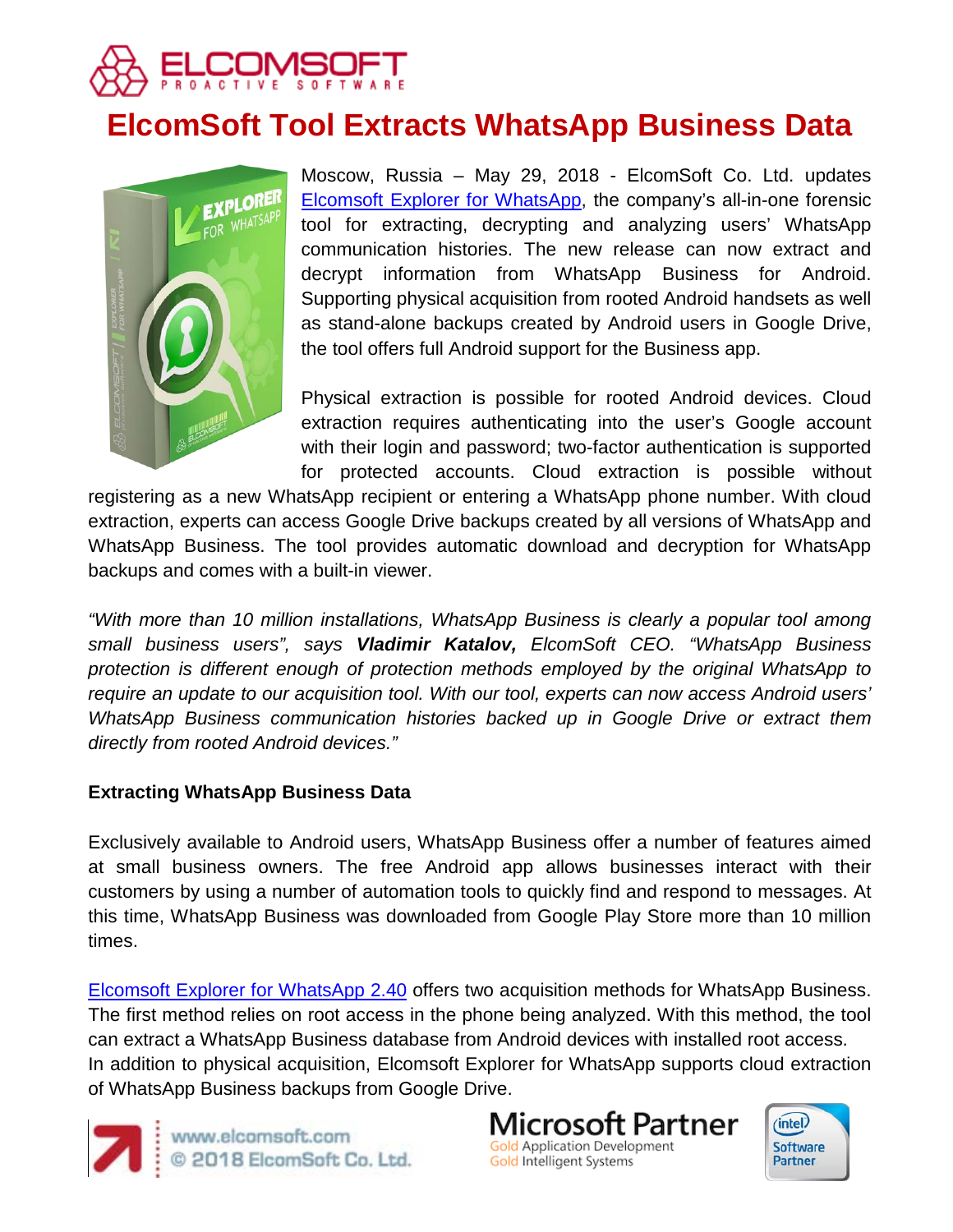

# **ElcomSoft Tool Extracts WhatsApp Business Data**



Moscow, Russia – May 29, 2018 - ElcomSoft Co. Ltd. updates [Elcomsoft Explorer for WhatsApp,](https://www.elcomsoft.com/exwa.html) the company's all-in-one forensic tool for extracting, decrypting and analyzing users' WhatsApp communication histories. The new release can now extract and decrypt information from WhatsApp Business for Android. Supporting physical acquisition from rooted Android handsets as well as stand-alone backups created by Android users in Google Drive, the tool offers full Android support for the Business app.

Physical extraction is possible for rooted Android devices. Cloud extraction requires authenticating into the user's Google account with their login and password; two-factor authentication is supported for protected accounts. Cloud extraction is possible without

registering as a new WhatsApp recipient or entering a WhatsApp phone number. With cloud extraction, experts can access Google Drive backups created by all versions of WhatsApp and WhatsApp Business. The tool provides automatic download and decryption for WhatsApp backups and comes with a built-in viewer.

*"With more than 10 million installations, WhatsApp Business is clearly a popular tool among small business users", says Vladimir Katalov, ElcomSoft CEO. "WhatsApp Business protection is different enough of protection methods employed by the original WhatsApp to require an update to our acquisition tool. With our tool, experts can now access Android users' WhatsApp Business communication histories backed up in Google Drive or extract them directly from rooted Android devices."*

## **Extracting WhatsApp Business Data**

Exclusively available to Android users, WhatsApp Business offer a number of features aimed at small business owners. The free Android app allows businesses interact with their customers by using a number of automation tools to quickly find and respond to messages. At this time, WhatsApp Business was downloaded from Google Play Store more than 10 million times.

[Elcomsoft Explorer for WhatsApp 2.40](https://www.elcomsoft.com/exwa.html) offers two acquisition methods for WhatsApp Business. The first method relies on root access in the phone being analyzed. With this method, the tool can extract a WhatsApp Business database from Android devices with installed root access. In addition to physical acquisition, Elcomsoft Explorer for WhatsApp supports cloud extraction of WhatsApp Business backups from Google Drive.



www.elcomsoft.com © 2018 ElcomSoft Co. Ltd. Microsoft Partner **Gold Application Development** Gold Intelligent Systems